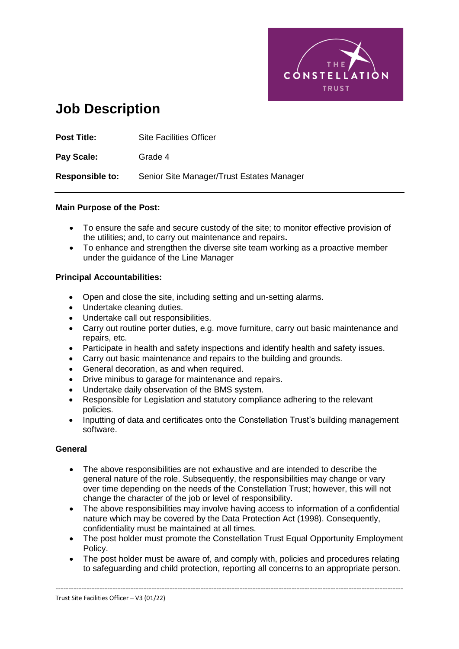

# **Job Description**

| <b>Post Title:</b>     | <b>Site Facilities Officer</b>            |
|------------------------|-------------------------------------------|
| Pay Scale:             | Grade 4                                   |
| <b>Responsible to:</b> | Senior Site Manager/Trust Estates Manager |

## **Main Purpose of the Post:**

- To ensure the safe and secure custody of the site; to monitor effective provision of the utilities; and, to carry out maintenance and repairs**.**
- To enhance and strengthen the diverse site team working as a proactive member under the guidance of the Line Manager

# **Principal Accountabilities:**

- Open and close the site, including setting and un-setting alarms.
- Undertake cleaning duties.
- Undertake call out responsibilities.
- Carry out routine porter duties, e.g. move furniture, carry out basic maintenance and repairs, etc.
- Participate in health and safety inspections and identify health and safety issues.
- Carry out basic maintenance and repairs to the building and grounds.
- General decoration, as and when required.
- Drive minibus to garage for maintenance and repairs.
- Undertake daily observation of the BMS system.
- Responsible for Legislation and statutory compliance adhering to the relevant policies.
- Inputting of data and certificates onto the Constellation Trust's building management software.

## **General**

- The above responsibilities are not exhaustive and are intended to describe the general nature of the role. Subsequently, the responsibilities may change or vary over time depending on the needs of the Constellation Trust; however, this will not change the character of the job or level of responsibility.
- The above responsibilities may involve having access to information of a confidential nature which may be covered by the Data Protection Act (1998). Consequently, confidentiality must be maintained at all times.
- The post holder must promote the Constellation Trust Equal Opportunity Employment Policy.
- The post holder must be aware of, and comply with, policies and procedures relating to safeguarding and child protection, reporting all concerns to an appropriate person.

--------------------------------------------------------------------------------------------------------------------------------------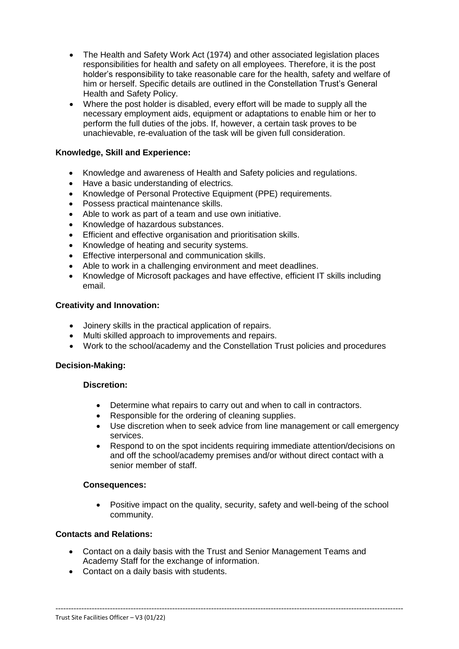- The Health and Safety Work Act (1974) and other associated legislation places responsibilities for health and safety on all employees. Therefore, it is the post holder's responsibility to take reasonable care for the health, safety and welfare of him or herself. Specific details are outlined in the Constellation Trust's General Health and Safety Policy.
- Where the post holder is disabled, every effort will be made to supply all the necessary employment aids, equipment or adaptations to enable him or her to perform the full duties of the jobs. If, however, a certain task proves to be unachievable, re-evaluation of the task will be given full consideration.

# **Knowledge, Skill and Experience:**

- Knowledge and awareness of Health and Safety policies and regulations.
- Have a basic understanding of electrics.
- Knowledge of Personal Protective Equipment (PPE) requirements.
- Possess practical maintenance skills.
- Able to work as part of a team and use own initiative.
- Knowledge of hazardous substances.
- Efficient and effective organisation and prioritisation skills.
- Knowledge of heating and security systems.
- Effective interpersonal and communication skills.
- Able to work in a challenging environment and meet deadlines.
- Knowledge of Microsoft packages and have effective, efficient IT skills including email.

## **Creativity and Innovation:**

- Joinery skills in the practical application of repairs.
- Multi skilled approach to improvements and repairs.
- Work to the school/academy and the Constellation Trust policies and procedures

## **Decision-Making:**

## **Discretion:**

- Determine what repairs to carry out and when to call in contractors.
- Responsible for the ordering of cleaning supplies.
- Use discretion when to seek advice from line management or call emergency services.
- Respond to on the spot incidents requiring immediate attention/decisions on and off the school/academy premises and/or without direct contact with a senior member of staff.

## **Consequences:**

 Positive impact on the quality, security, safety and well-being of the school community.

## **Contacts and Relations:**

 Contact on a daily basis with the Trust and Senior Management Teams and Academy Staff for the exchange of information.

--------------------------------------------------------------------------------------------------------------------------------------

Contact on a daily basis with students.